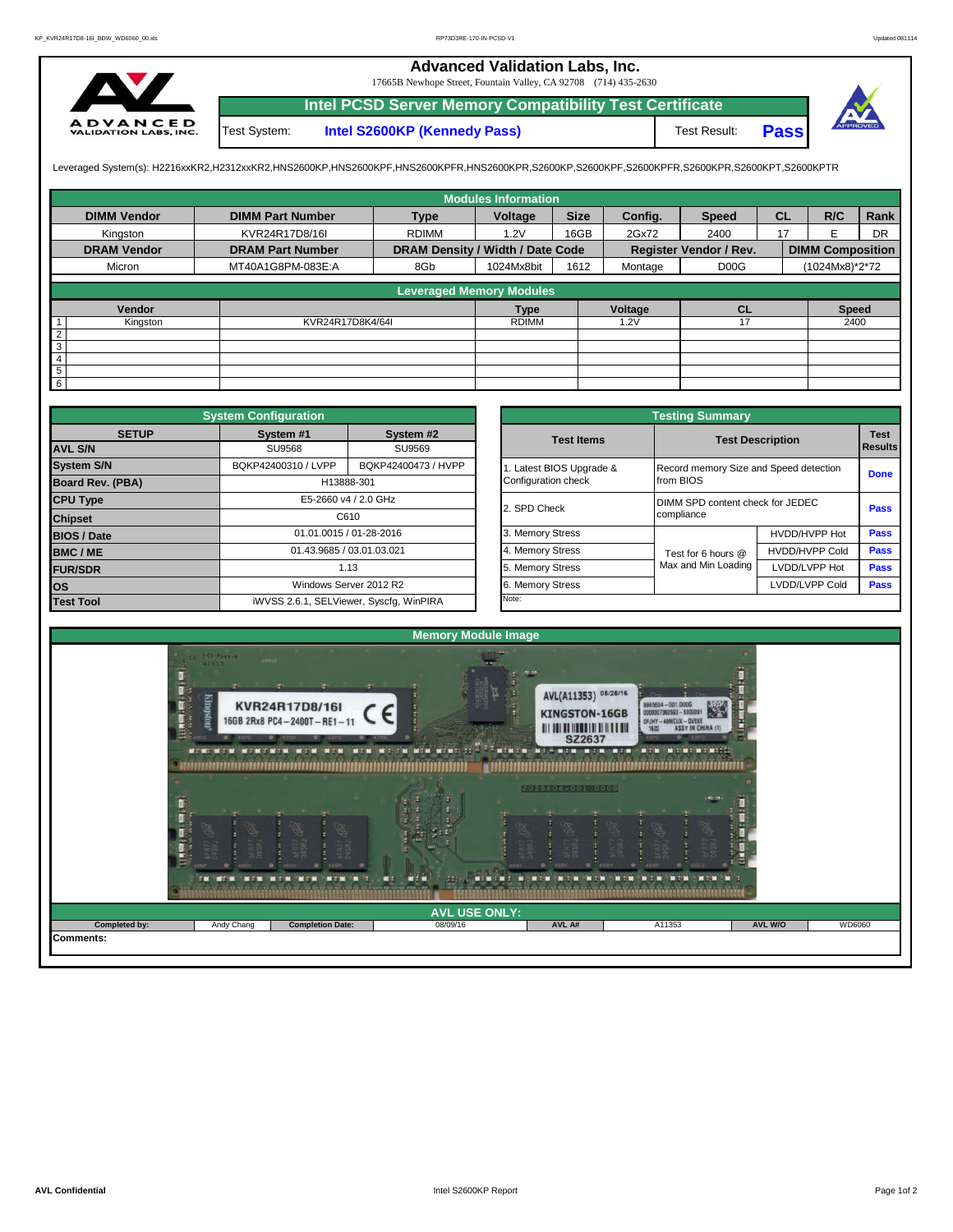## **Advanced Validation Labs, Inc.**

17665B Newhope Street, Fountain Valley, CA 92708 (714) 435-2630



Test System: **Intel S2600KP (Kennedy Pass)** Test Result: **Intel PCSD Server Memory Compatibility Test Certificate Pass**



Leveraged System(s): H2216xxKR2,H2312xxKR2,HNS2600KP,HNS2600KPF,HNS2600KPFR,HNS2600KPR,S2600KP,S2600KPF,S2600KPFR,S2600KPR,S2600KPT,S2600KPTR

|                    |                         |                                  | <b>Modules Information</b> |             |         |                               |           |                         |           |
|--------------------|-------------------------|----------------------------------|----------------------------|-------------|---------|-------------------------------|-----------|-------------------------|-----------|
| <b>DIMM Vendor</b> | <b>DIMM Part Number</b> | <b>Type</b>                      | Voltage                    | <b>Size</b> | Config. | <b>Speed</b>                  | <b>CL</b> | R/C                     | Rank      |
| Kinaston           | KVR24R17D8/16I          | <b>RDIMM</b>                     | 1.2V                       | 16GB        | 2Gx72   | 2400                          | 17        |                         | <b>DR</b> |
| <b>DRAM Vendor</b> | <b>DRAM Part Number</b> | DRAM Density / Width / Date Code |                            |             |         | <b>Register Vendor / Rev.</b> |           | <b>DIMM Composition</b> |           |
| Micron             | MT40A1G8PM-083E:A       | 8Gb                              | 1024Mx8bit                 | 1612        | Montage | D <sub>0</sub> <sub>G</sub>   |           | (1024Mx8)*2*72          |           |
|                    |                         | <b>Leveraged Memory Modules</b>  |                            |             |         |                               |           |                         |           |
|                    |                         |                                  |                            |             |         |                               |           |                         |           |
| Vendor             |                         |                                  | <b>Type</b>                |             | Voltage | <b>CL</b>                     |           | <b>Speed</b>            |           |
| Kingston           | KVR24R17D8K4/64I        |                                  | <b>RDIMM</b>               |             | 1.2V    |                               |           | 2400                    |           |
| $\overline{2}$     |                         |                                  |                            |             |         |                               |           |                         |           |
| $\overline{3}$     |                         |                                  |                            |             |         |                               |           |                         |           |
| 4                  |                         |                                  |                            |             |         |                               |           |                         |           |
| $\overline{5}$     |                         |                                  |                            |             |         |                               |           |                         |           |
| $6\overline{6}$    |                         |                                  |                            |             |         |                               |           |                         |           |

|                    | <b>System Configuration</b>                |                                         |                       |                                        | <b>Testing Summary</b> |                                  |                        |  |  |
|--------------------|--------------------------------------------|-----------------------------------------|-----------------------|----------------------------------------|------------------------|----------------------------------|------------------------|--|--|
| <b>SETUP</b>       | System #1                                  | System #2                               |                       | <b>Test Items</b>                      |                        | <b>Test Description</b>          | <b>Test</b><br>Results |  |  |
| <b>AVL S/N</b>     | <b>SU9568</b>                              | SU9569                                  |                       |                                        |                        |                                  |                        |  |  |
| <b>System S/N</b>  | BQKP42400473 / HVPP<br>BQKP42400310 / LVPP |                                         | Latest BIOS Upgrade & | Record memory Size and Speed detection | <b>Done</b>            |                                  |                        |  |  |
| Board Rev. (PBA)   |                                            | H13888-301                              |                       | Configuration check                    | from BIOS              |                                  |                        |  |  |
| <b>CPU Type</b>    |                                            | E5-2660 v4 / 2.0 GHz                    |                       | 2. SPD Check                           |                        | DIMM SPD content check for JEDEC |                        |  |  |
| <b>Chipset</b>     |                                            | C610                                    |                       |                                        | compliance             |                                  |                        |  |  |
| <b>BIOS / Date</b> |                                            | 01.01.0015 / 01-28-2016                 |                       | 3. Memory Stress                       |                        | HVDD/HVPP Hot                    | <b>Pass</b>            |  |  |
| <b>BMC/ME</b>      |                                            | 01.43.9685 / 03.01.03.021               |                       | 4. Memory Stress                       | Test for 6 hours @     | <b>HVDD/HVPP Cold</b>            | <b>Pass</b>            |  |  |
| <b>FUR/SDR</b>     | 1.13                                       |                                         |                       | 5. Memory Stress                       | Max and Min Loading    | LVDD/LVPP Hot                    | Pass                   |  |  |
| <b>los</b>         |                                            | Windows Server 2012 R2                  |                       | 6. Memory Stress                       |                        | LVDD/LVPP Cold                   | <b>Pass</b>            |  |  |
| <b>Test Tool</b>   |                                            | iWVSS 2.6.1, SELViewer, Syscfq, WinPIRA |                       | Note:                                  |                        |                                  |                        |  |  |

|              | <b>System Configuration</b>                |                                         |                       | <b>Testing Summary</b>  |                                        |                |  |  |
|--------------|--------------------------------------------|-----------------------------------------|-----------------------|-------------------------|----------------------------------------|----------------|--|--|
| <b>SETUP</b> | System #1                                  | System #2                               | <b>Test Items</b>     | <b>Test Description</b> |                                        | <b>Test</b>    |  |  |
|              | <b>SU9568</b>                              | SU9569                                  |                       |                         |                                        | <b>Results</b> |  |  |
|              | BQKP42400310 / LVPP<br>BQKP42400473 / HVPP |                                         | Latest BIOS Upgrade & |                         | Record memory Size and Speed detection |                |  |  |
| PBA)         |                                            | H13888-301                              | Configuration check   | from BIOS               |                                        |                |  |  |
|              |                                            | E5-2660 v4 / 2.0 GHz                    | 2. SPD Check          |                         | DIMM SPD content check for JEDEC       |                |  |  |
|              |                                            | C610                                    |                       | compliance              |                                        |                |  |  |
|              |                                            | 01.01.0015 / 01-28-2016                 | 3. Memory Stress      |                         | HVDD/HVPP Hot                          | <b>Pass</b>    |  |  |
|              |                                            | 01.43.9685 / 03.01.03.021               | 4. Memory Stress      | Test for 6 hours @      | <b>HVDD/HVPP Cold</b>                  | <b>Pass</b>    |  |  |
|              |                                            | 1.13                                    | 5. Memory Stress      | Max and Min Loading     | LVDD/LVPP Hot                          | <b>Pass</b>    |  |  |
|              |                                            | Windows Server 2012 R2                  | 6. Memory Stress      |                         | LVDD/LVPP Cold                         | <b>Pass</b>    |  |  |
|              |                                            | iWVSS 2.6.1, SELViewer, Syscfq, WinPIRA | Note:                 |                         |                                        |                |  |  |

| ză,<br>ī.<br>in Si | $742 - 9949 - 8$<br>H1615<br>Kingston | ADM12<br>KVR24R17D8/16I<br>16GB 2Rx8 PC4-2400T-RE1-11 |                                  | <b>ALL</b><br>AVL(A11353) 05/25/16<br><b>KINGSTON-16GB</b><br><b>III III IIII IIII IIIIII IIIIII</b><br>SZ2637<br>2025604-001.DOOG | 9965604 - 001.0006<br>K<br>0000007360593 - \$000091<br>OFJHY -49MCUX - QVSXE<br><b>DET</b><br><b>NETTE ETHE</b> | F<br>437 |        |
|--------------------|---------------------------------------|-------------------------------------------------------|----------------------------------|------------------------------------------------------------------------------------------------------------------------------------|-----------------------------------------------------------------------------------------------------------------|----------|--------|
|                    | men                                   | man<br>men                                            | <b>NET</b><br>ΠИ                 |                                                                                                                                    |                                                                                                                 |          |        |
|                    |                                       | <b>Completion Date:</b>                               | <b>AVL USE ONLY:</b><br>08/09/16 | AVL A#                                                                                                                             | A11353                                                                                                          | AVL W/O  | WD6060 |